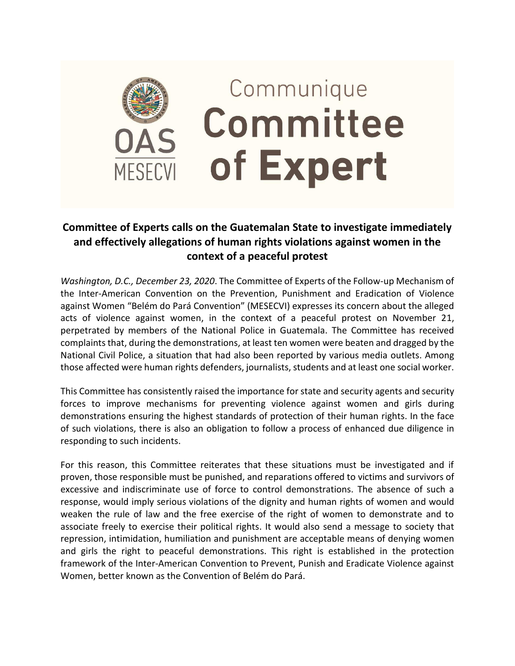

## **Committee of Experts calls on the Guatemalan State to investigate immediately and effectively allegations of human rights violations against women in the context of a peaceful protest**

*Washington, D.C., December 23, 2020*. The Committee of Experts of the Follow-up Mechanism of the Inter-American Convention on the Prevention, Punishment and Eradication of Violence against Women "Belém do Pará Convention" (MESECVI) expresses its concern about the alleged acts of violence against women, in the context of a peaceful protest on November 21, perpetrated by members of the National Police in Guatemala. The Committee has received complaints that, during the demonstrations, at least ten women were beaten and dragged by the National Civil Police, a situation that had also been reported by various media outlets. Among those affected were human rights defenders, journalists, students and at least one social worker.

This Committee has consistently raised the importance for state and security agents and security forces to improve mechanisms for preventing violence against women and girls during demonstrations ensuring the highest standards of protection of their human rights. In the face of such violations, there is also an obligation to follow a process of enhanced due diligence in responding to such incidents.

For this reason, this Committee reiterates that these situations must be investigated and if proven, those responsible must be punished, and reparations offered to victims and survivors of excessive and indiscriminate use of force to control demonstrations. The absence of such a response, would imply serious violations of the dignity and human rights of women and would weaken the rule of law and the free exercise of the right of women to demonstrate and to associate freely to exercise their political rights. It would also send a message to society that repression, intimidation, humiliation and punishment are acceptable means of denying women and girls the right to peaceful demonstrations. This right is established in the protection framework of the Inter-American Convention to Prevent, Punish and Eradicate Violence against Women, better known as the Convention of Belém do Pará.